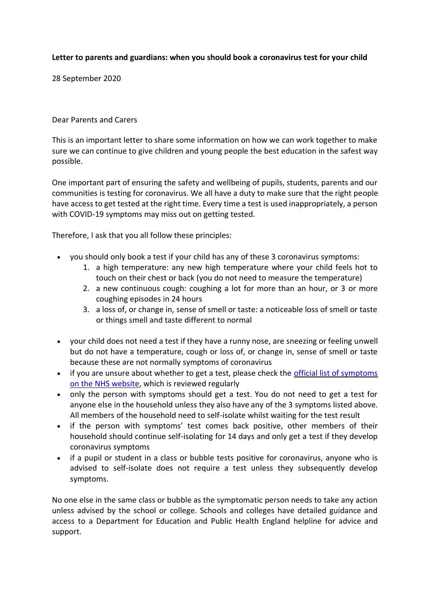## **Letter to parents and guardians: when you should book a coronavirus test for your child**

28 September 2020

Dear Parents and Carers

This is an important letter to share some information on how we can work together to make sure we can continue to give children and young people the best education in the safest way possible.

One important part of ensuring the safety and wellbeing of pupils, students, parents and our communities is testing for coronavirus. We all have a duty to make sure that the right people have access to get tested at the right time. Every time a test is used inappropriately, a person with COVID-19 symptoms may miss out on getting tested.

Therefore, I ask that you all follow these principles:

- you should only book a test if your child has any of these 3 coronavirus symptoms:
	- 1. a high temperature: any new high temperature where your child feels hot to touch on their chest or back (you do not need to measure the temperature)
	- 2. a new continuous cough: coughing a lot for more than an hour, or 3 or more coughing episodes in 24 hours
	- 3. a loss of, or change in, sense of smell or taste: a noticeable loss of smell or taste or things smell and taste different to normal
- your child does not need a test if they have a runny nose, are sneezing or feeling unwell but do not have a temperature, cough or loss of, or change in, sense of smell or taste because these are not normally symptoms of coronavirus
- if you are unsure about whether to get a test, please check the *official list of symptoms* [on the NHS website,](https://www.nhs.uk/conditions/coronavirus-covid-19/symptoms/) which is reviewed regularly
- only the person with symptoms should get a test. You do not need to get a test for anyone else in the household unless they also have any of the 3 symptoms listed above. All members of the household need to self-isolate whilst waiting for the test result
- if the person with symptoms' test comes back positive, other members of their household should continue self-isolating for 14 days and only get a test if they develop coronavirus symptoms
- if a pupil or student in a class or bubble tests positive for coronavirus, anyone who is advised to self-isolate does not require a test unless they subsequently develop symptoms.

No one else in the same class or bubble as the symptomatic person needs to take any action unless advised by the school or college. Schools and colleges have detailed guidance and access to a Department for Education and Public Health England helpline for advice and support.